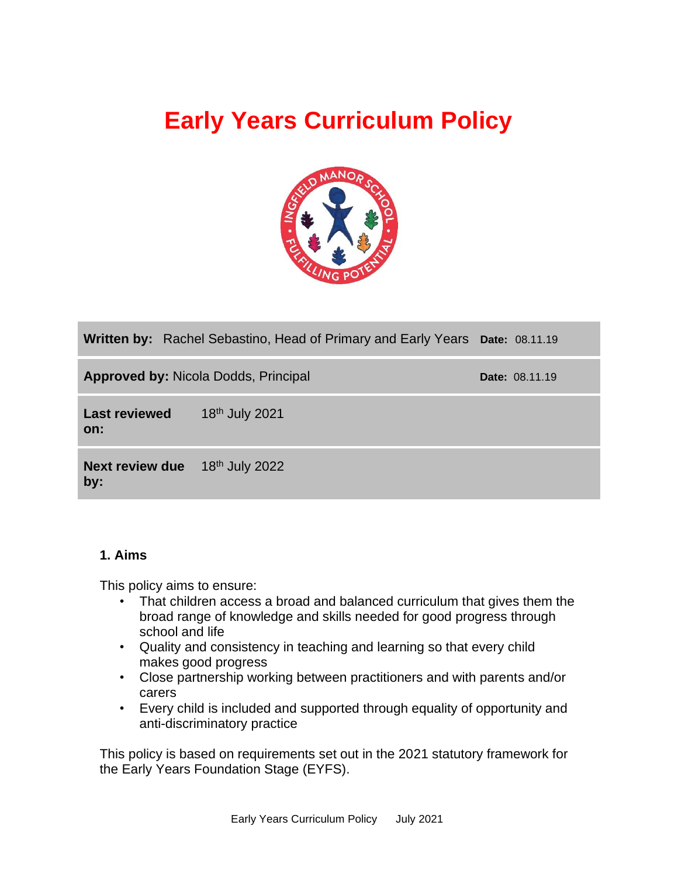# **Early Years Curriculum Policy**



|                                                | <b>Written by:</b> Rachel Sebastino, Head of Primary and Early Years Date: 08.11.19 |  |                       |
|------------------------------------------------|-------------------------------------------------------------------------------------|--|-----------------------|
| <b>Approved by: Nicola Dodds, Principal</b>    |                                                                                     |  | <b>Date: 08.11.19</b> |
| <b>Last reviewed</b><br>on:                    | 18 <sup>th</sup> July 2021                                                          |  |                       |
| <b>Next review due</b> $18th$ July 2022<br>by: |                                                                                     |  |                       |

# **1. Aims**

This policy aims to ensure:

- That children access a broad and balanced curriculum that gives them the broad range of knowledge and skills needed for good progress through school and life
- Quality and consistency in teaching and learning so that every child makes good progress
- Close partnership working between practitioners and with parents and/or carers
- Every child is included and supported through equality of opportunity and anti-discriminatory practice

This policy is based on requirements set out in the 2021 statutory framework for the Early Years Foundation Stage (EYFS).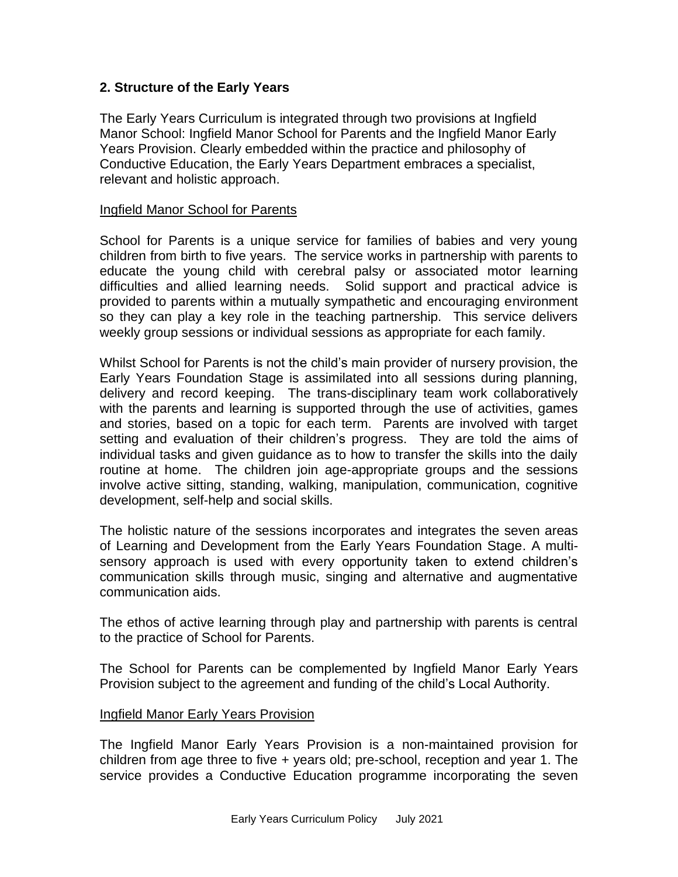# **2. Structure of the Early Years**

The Early Years Curriculum is integrated through two provisions at Ingfield Manor School: Ingfield Manor School for Parents and the Ingfield Manor Early Years Provision. Clearly embedded within the practice and philosophy of Conductive Education, the Early Years Department embraces a specialist, relevant and holistic approach.

#### Ingfield Manor School for Parents

School for Parents is a unique service for families of babies and very young children from birth to five years. The service works in partnership with parents to educate the young child with cerebral palsy or associated motor learning difficulties and allied learning needs. Solid support and practical advice is provided to parents within a mutually sympathetic and encouraging environment so they can play a key role in the teaching partnership. This service delivers weekly group sessions or individual sessions as appropriate for each family.

Whilst School for Parents is not the child's main provider of nursery provision, the Early Years Foundation Stage is assimilated into all sessions during planning, delivery and record keeping. The trans-disciplinary team work collaboratively with the parents and learning is supported through the use of activities, games and stories, based on a topic for each term. Parents are involved with target setting and evaluation of their children's progress. They are told the aims of individual tasks and given guidance as to how to transfer the skills into the daily routine at home. The children join age-appropriate groups and the sessions involve active sitting, standing, walking, manipulation, communication, cognitive development, self-help and social skills.

The holistic nature of the sessions incorporates and integrates the seven areas of Learning and Development from the Early Years Foundation Stage. A multisensory approach is used with every opportunity taken to extend children's communication skills through music, singing and alternative and augmentative communication aids.

The ethos of active learning through play and partnership with parents is central to the practice of School for Parents.

The School for Parents can be complemented by Ingfield Manor Early Years Provision subject to the agreement and funding of the child's Local Authority.

## Ingfield Manor Early Years Provision

The Ingfield Manor Early Years Provision is a non-maintained provision for children from age three to five + years old; pre-school, reception and year 1. The service provides a Conductive Education programme incorporating the seven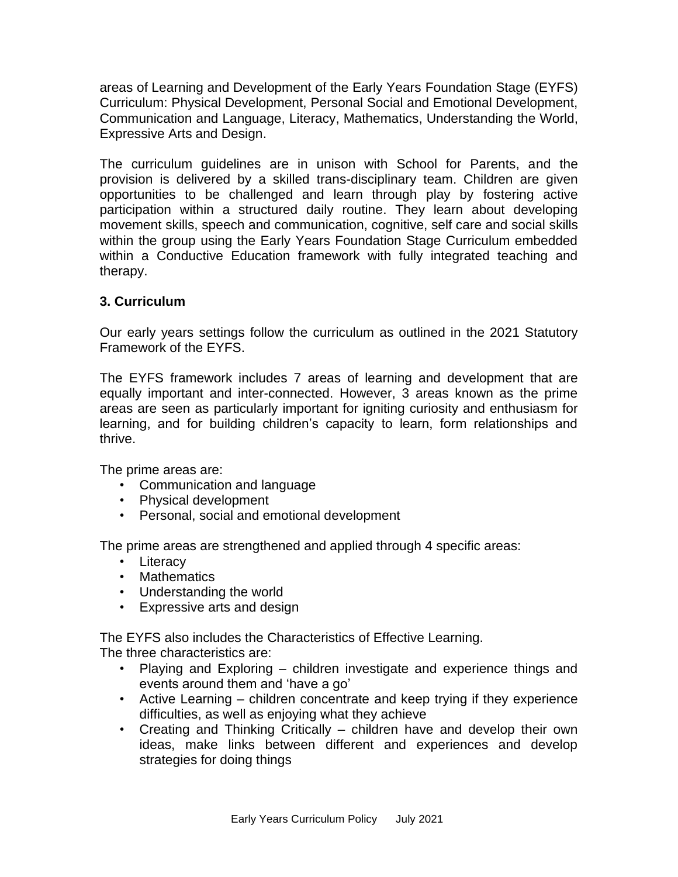areas of Learning and Development of the Early Years Foundation Stage (EYFS) Curriculum: Physical Development, Personal Social and Emotional Development, Communication and Language, Literacy, Mathematics, Understanding the World, Expressive Arts and Design.

The curriculum guidelines are in unison with School for Parents, and the provision is delivered by a skilled trans-disciplinary team. Children are given opportunities to be challenged and learn through play by fostering active participation within a structured daily routine. They learn about developing movement skills, speech and communication, cognitive, self care and social skills within the group using the Early Years Foundation Stage Curriculum embedded within a Conductive Education framework with fully integrated teaching and therapy.

# **3. Curriculum**

Our early years settings follow the curriculum as outlined in the 2021 Statutory Framework of the EYFS.

The EYFS framework includes 7 areas of learning and development that are equally important and inter-connected. However, 3 areas known as the prime areas are seen as particularly important for igniting curiosity and enthusiasm for learning, and for building children's capacity to learn, form relationships and thrive.

The prime areas are:

- Communication and language
- Physical development
- Personal, social and emotional development

The prime areas are strengthened and applied through 4 specific areas:

- Literacy
- Mathematics
- Understanding the world
- Expressive arts and design

The EYFS also includes the Characteristics of Effective Learning.

The three characteristics are:

- Playing and Exploring children investigate and experience things and events around them and 'have a go'
- Active Learning children concentrate and keep trying if they experience difficulties, as well as enjoying what they achieve
- Creating and Thinking Critically children have and develop their own ideas, make links between different and experiences and develop strategies for doing things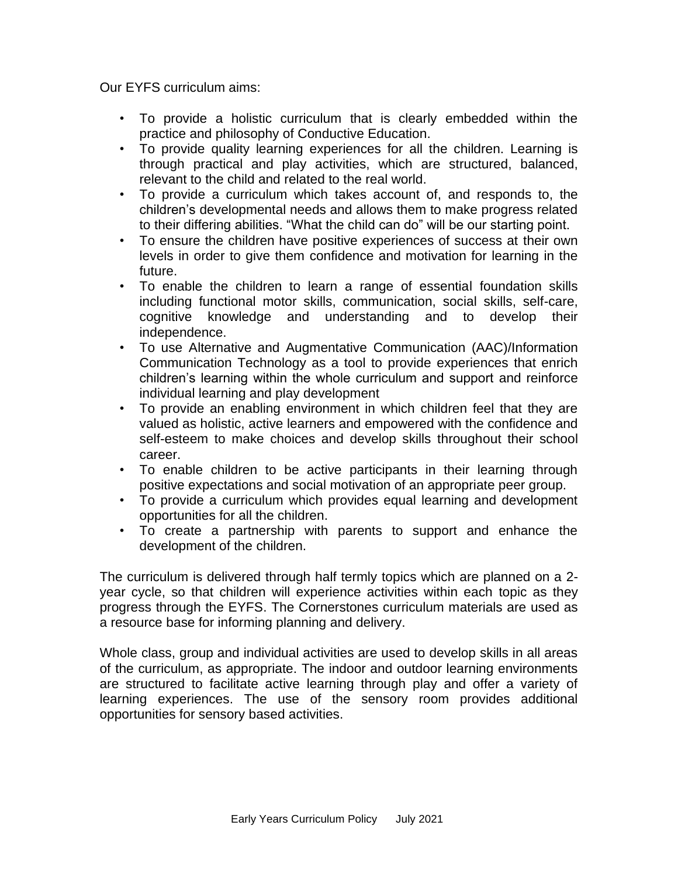Our EYFS curriculum aims:

- To provide a holistic curriculum that is clearly embedded within the practice and philosophy of Conductive Education.
- To provide quality learning experiences for all the children. Learning is through practical and play activities, which are structured, balanced, relevant to the child and related to the real world.
- To provide a curriculum which takes account of, and responds to, the children's developmental needs and allows them to make progress related to their differing abilities. "What the child can do" will be our starting point.
- To ensure the children have positive experiences of success at their own levels in order to give them confidence and motivation for learning in the future.
- To enable the children to learn a range of essential foundation skills including functional motor skills, communication, social skills, self-care, cognitive knowledge and understanding and to develop their independence.
- To use Alternative and Augmentative Communication (AAC)/Information Communication Technology as a tool to provide experiences that enrich children's learning within the whole curriculum and support and reinforce individual learning and play development
- To provide an enabling environment in which children feel that they are valued as holistic, active learners and empowered with the confidence and self-esteem to make choices and develop skills throughout their school career.
- To enable children to be active participants in their learning through positive expectations and social motivation of an appropriate peer group.
- To provide a curriculum which provides equal learning and development opportunities for all the children.
- To create a partnership with parents to support and enhance the development of the children.

The curriculum is delivered through half termly topics which are planned on a 2 year cycle, so that children will experience activities within each topic as they progress through the EYFS. The Cornerstones curriculum materials are used as a resource base for informing planning and delivery.

Whole class, group and individual activities are used to develop skills in all areas of the curriculum, as appropriate. The indoor and outdoor learning environments are structured to facilitate active learning through play and offer a variety of learning experiences. The use of the sensory room provides additional opportunities for sensory based activities.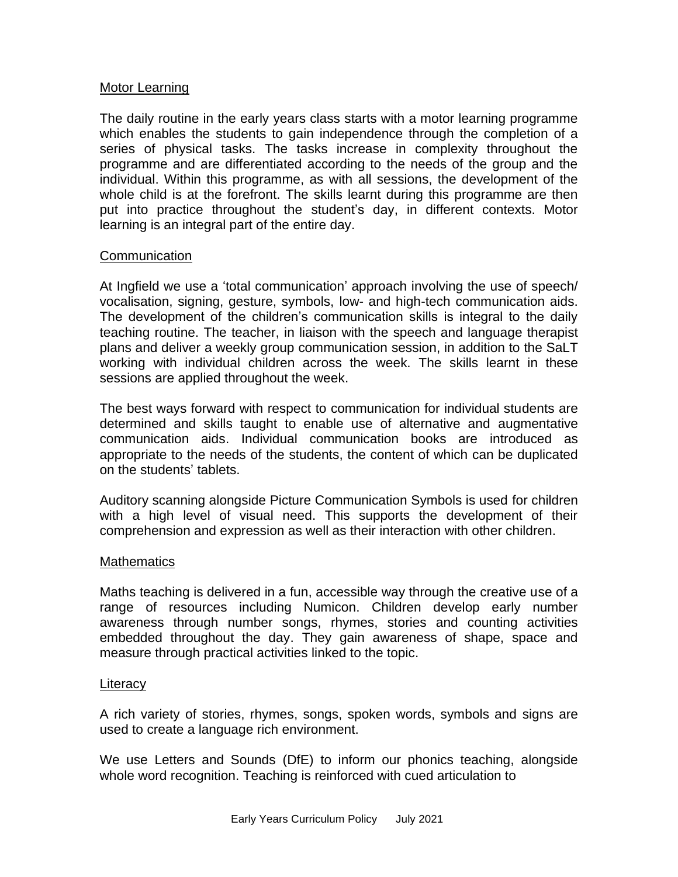#### Motor Learning

The daily routine in the early years class starts with a motor learning programme which enables the students to gain independence through the completion of a series of physical tasks. The tasks increase in complexity throughout the programme and are differentiated according to the needs of the group and the individual. Within this programme, as with all sessions, the development of the whole child is at the forefront. The skills learnt during this programme are then put into practice throughout the student's day, in different contexts. Motor learning is an integral part of the entire day.

#### **Communication**

At Ingfield we use a 'total communication' approach involving the use of speech/ vocalisation, signing, gesture, symbols, low- and high-tech communication aids. The development of the children's communication skills is integral to the daily teaching routine. The teacher, in liaison with the speech and language therapist plans and deliver a weekly group communication session, in addition to the SaLT working with individual children across the week. The skills learnt in these sessions are applied throughout the week.

The best ways forward with respect to communication for individual students are determined and skills taught to enable use of alternative and augmentative communication aids. Individual communication books are introduced as appropriate to the needs of the students, the content of which can be duplicated on the students' tablets.

Auditory scanning alongside Picture Communication Symbols is used for children with a high level of visual need. This supports the development of their comprehension and expression as well as their interaction with other children.

#### **Mathematics**

Maths teaching is delivered in a fun, accessible way through the creative use of a range of resources including Numicon. Children develop early number awareness through number songs, rhymes, stories and counting activities embedded throughout the day. They gain awareness of shape, space and measure through practical activities linked to the topic.

#### **Literacy**

A rich variety of stories, rhymes, songs, spoken words, symbols and signs are used to create a language rich environment.

We use Letters and Sounds (DfE) to inform our phonics teaching, alongside whole word recognition. Teaching is reinforced with cued articulation to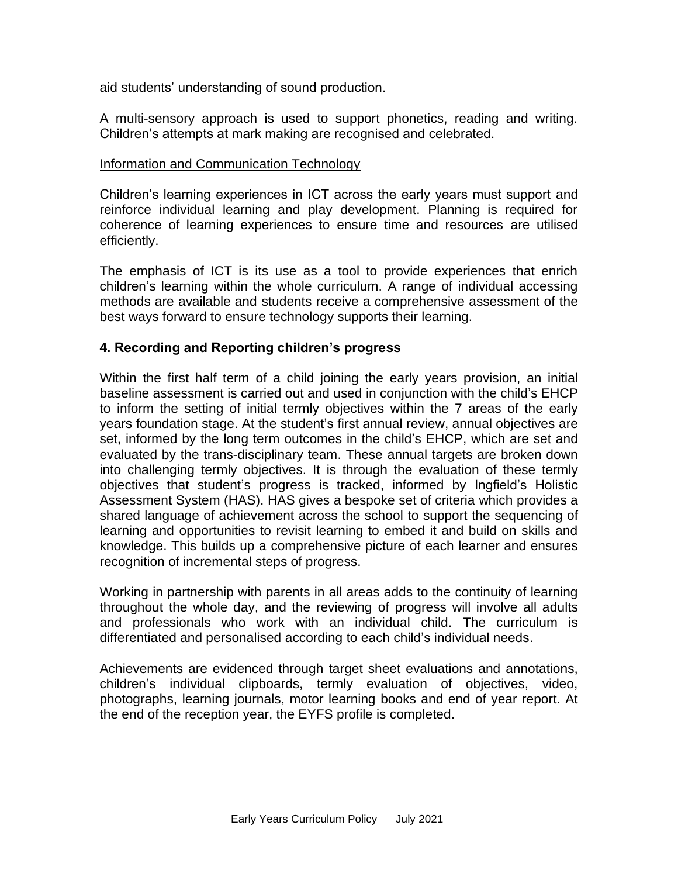aid students' understanding of sound production.

A multi-sensory approach is used to support phonetics, reading and writing. Children's attempts at mark making are recognised and celebrated.

## Information and Communication Technology

Children's learning experiences in ICT across the early years must support and reinforce individual learning and play development. Planning is required for coherence of learning experiences to ensure time and resources are utilised efficiently.

The emphasis of ICT is its use as a tool to provide experiences that enrich children's learning within the whole curriculum. A range of individual accessing methods are available and students receive a comprehensive assessment of the best ways forward to ensure technology supports their learning.

## **4. Recording and Reporting children's progress**

Within the first half term of a child joining the early years provision, an initial baseline assessment is carried out and used in conjunction with the child's EHCP to inform the setting of initial termly objectives within the 7 areas of the early years foundation stage. At the student's first annual review, annual objectives are set, informed by the long term outcomes in the child's EHCP, which are set and evaluated by the trans-disciplinary team. These annual targets are broken down into challenging termly objectives. It is through the evaluation of these termly objectives that student's progress is tracked, informed by Ingfield's Holistic Assessment System (HAS). HAS gives a bespoke set of criteria which provides a shared language of achievement across the school to support the sequencing of learning and opportunities to revisit learning to embed it and build on skills and knowledge. This builds up a comprehensive picture of each learner and ensures recognition of incremental steps of progress.

Working in partnership with parents in all areas adds to the continuity of learning throughout the whole day, and the reviewing of progress will involve all adults and professionals who work with an individual child. The curriculum is differentiated and personalised according to each child's individual needs.

Achievements are evidenced through target sheet evaluations and annotations, children's individual clipboards, termly evaluation of objectives, video, photographs, learning journals, motor learning books and end of year report. At the end of the reception year, the EYFS profile is completed.